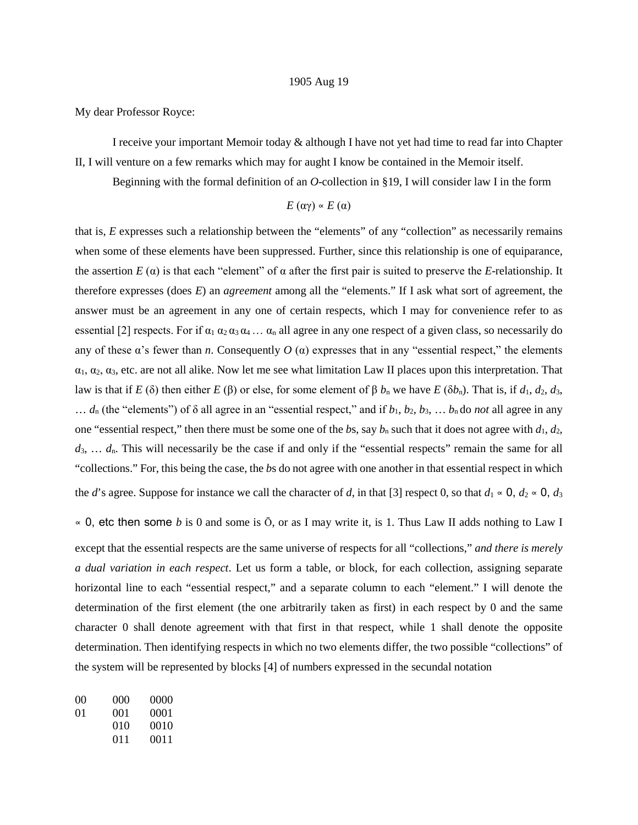## 1905 Aug 19

My dear Professor Royce:

I receive your important Memoir today & although I have not yet had time to read far into Chapter II, I will venture on a few remarks which may for aught I know be contained in the Memoir itself.

Beginning with the formal definition of an *O*-collection in §19, I will consider law I in the form

$$
E(\alpha\gamma) \propto E(\alpha)
$$

that is, *E* expresses such a relationship between the "elements" of any "collection" as necessarily remains when some of these elements have been suppressed. Further, since this relationship is one of equiparance, the assertion  $E(\alpha)$  is that each "element" of  $\alpha$  after the first pair is suited to preserve the *E*-relationship. It therefore expresses (does *E*) an *agreement* among all the "elements." If I ask what sort of agreement, the answer must be an agreement in any one of certain respects, which I may for convenience refer to as essential [2] respects. For if  $\alpha_1 \alpha_2 \alpha_3 \alpha_4 \dots \alpha_n$  all agree in any one respect of a given class, so necessarily do any of these  $\alpha$ 's fewer than *n*. Consequently  $O(\alpha)$  expresses that in any "essential respect," the elements  $\alpha_1, \alpha_2, \alpha_3$ , etc. are not all alike. Now let me see what limitation Law II places upon this interpretation. That law is that if *E* (δ) then either *E* (β) or else, for some element of β  $b_n$  we have *E* (δ $b_n$ ). That is, if  $d_1$ ,  $d_2$ ,  $d_3$ ,  $\dots$  *d*<sub>n</sub> (the "elements") of  $\delta$  all agree in an "essential respect," and if  $b_1, b_2, b_3, \dots, b_n$  do *not* all agree in any one "essential respect," then there must be some one of the *bs*, say  $b_n$  such that it does not agree with  $d_1, d_2$ , *d*3, … *d*n. This will necessarily be the case if and only if the "essential respects" remain the same for all "collections." For, this being the case, the *b*s do not agree with one another in that essential respect in which the *d*'s agree. Suppose for instance we call the character of *d*, in that [3] respect 0, so that  $d_1 \propto 0$ ,  $d_2 \propto 0$ ,  $d_3$ 

∝ 0, etc then some *b* is 0 and some is Ō, or as I may write it, is 1. Thus Law II adds nothing to Law I except that the essential respects are the same universe of respects for all "collections," *and there is merely a dual variation in each respect*. Let us form a table, or block, for each collection, assigning separate horizontal line to each "essential respect," and a separate column to each "element." I will denote the determination of the first element (the one arbitrarily taken as first) in each respect by 0 and the same character 0 shall denote agreement with that first in that respect, while 1 shall denote the opposite determination. Then identifying respects in which no two elements differ, the two possible "collections" of the system will be represented by blocks [4] of numbers expressed in the secundal notation

| $($ $()()$ | (000) | 0000 |
|------------|-------|------|
| 01         | (001  | 0001 |
|            | 010   | 0010 |
|            | 011   | 0011 |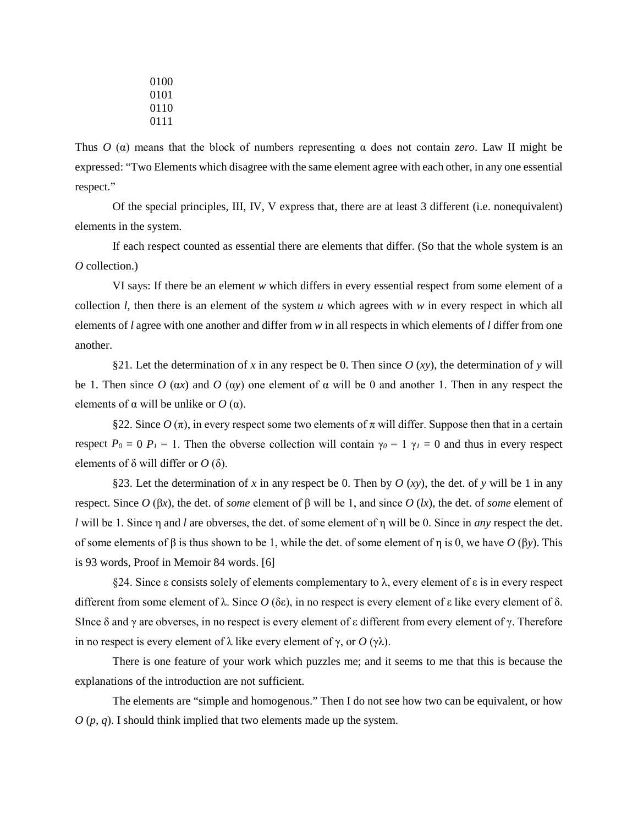Thus  $O(\alpha)$  means that the block of numbers representing  $\alpha$  does not contain *zero*. Law II might be expressed: "Two Elements which disagree with the same element agree with each other, in any one essential respect."

Of the special principles, III, IV, V express that, there are at least 3 different (i.e. nonequivalent) elements in the system.

If each respect counted as essential there are elements that differ. (So that the whole system is an *O* collection.)

VI says: If there be an element *w* which differs in every essential respect from some element of a collection *l*, then there is an element of the system *u* which agrees with *w* in every respect in which all elements of *l* agree with one another and differ from *w* in all respects in which elements of *l* differ from one another.

§21. Let the determination of *x* in any respect be 0. Then since  $O (xy)$ , the determination of *y* will be 1. Then since  $O(\alpha x)$  and  $O(\alpha y)$  one element of  $\alpha$  will be 0 and another 1. Then in any respect the elements of  $\alpha$  will be unlike or *O* ( $\alpha$ ).

§22. Since *O* (π), in every respect some two elements of π will differ. Suppose then that in a certain respect  $P_0 = 0$   $P_1 = 1$ . Then the obverse collection will contain  $\gamma_0 = 1$   $\gamma_1 = 0$  and thus in every respect elements of  $\delta$  will differ or *O* ( $\delta$ ).

§23. Let the determination of x in any respect be 0. Then by  $O(xy)$ , the det. of y will be 1 in any respect. Since *O* (β*x*), the det. of *some* element of β will be 1, and since *O* (*lx*), the det. of *some* element of *l* will be 1. Since η and *l* are obverses, the det. of some element of η will be 0. Since in *any* respect the det. of some elements of β is thus shown to be 1, while the det. of some element of η is 0, we have *O* (β*y*). This is 93 words, Proof in Memoir 84 words. [6]

§24. Since ε consists solely of elements complementary to λ, every element of ε is in every respect different from some element of λ. Since *O* (δε), in no respect is every element of ε like every element of δ. SInce  $\delta$  and  $\gamma$  are obverses, in no respect is every element of  $\epsilon$  different from every element of  $\gamma$ . Therefore in no respect is every element of λ like every element of γ, or *O* (γλ).

There is one feature of your work which puzzles me; and it seems to me that this is because the explanations of the introduction are not sufficient.

The elements are "simple and homogenous." Then I do not see how two can be equivalent, or how *O* (*p*, *q*). I should think implied that two elements made up the system.